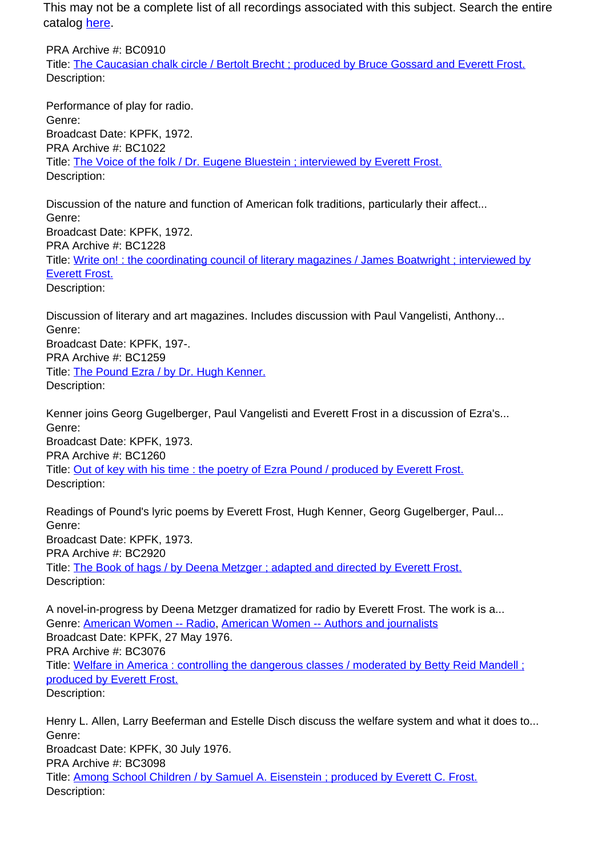This may not be a complete list of all recordings associated with this subject. Search the entire catalog [here.](http://pacificaradioarchives.org/keyword-search)

PRA Archive #: BC0910 Title: The Caucasian chalk circle / Bertolt Brecht ; produced by Bruce Gossard and Everett Frost. Description:

Performance of play for radio. Genre: Broadcast Date: KPFK, 1972. PRA Archive #: BC1022 Title: The Voice of the folk / Dr. Eugene Bluestein ; interviewed by Everett Frost. Description:

Discussion of the nature and function of American folk traditions, particularly their affect... Genre: Broadcast Date: KPFK, 1972. PRA Archive #: BC1228 Title: Write on! : the coordinating council of literary magazines / James Boatwright ; interviewed by Everett Frost. Description:

Discussion of literary and art magazines. Includes discussion with Paul Vangelisti, Anthony... Genre: Broadcast Date: KPFK, 197-. PRA Archive #: BC1259 Title: The Pound Ezra / by Dr. Hugh Kenner. Description:

Kenner joins Georg Gugelberger, Paul Vangelisti and Everett Frost in a discussion of Ezra's... Genre: Broadcast Date: KPFK, 1973. PRA Archive #: BC1260 Title: Out of key with his time : the poetry of Ezra Pound / produced by Everett Frost. Description:

Readings of Pound's lyric poems by Everett Frost, Hugh Kenner, Georg Gugelberger, Paul... Genre: Broadcast Date: KPFK, 1973. PRA Archive #: BC2920 Title: The Book of hags / by Deena Metzger ; adapted and directed by Everett Frost. Description:

A novel-in-progress by Deena Metzger dramatized for radio by Everett Frost. The work is a... Genre: American Women -- Radio, American Women -- Authors and journalists Broadcast Date: KPFK, 27 May 1976. PRA Archive #: BC3076 Title: Welfare in America : controlling the dangerous classes / moderated by Betty Reid Mandell ; produced by Everett Frost. Description:

Henry L. Allen, Larry Beeferman and Estelle Disch discuss the welfare system and what it does to... Genre: Broadcast Date: KPFK, 30 July 1976. PRA Archive #: BC3098 Title: Among School Children / by Samuel A. Eisenstein ; produced by Everett C. Frost. Description: